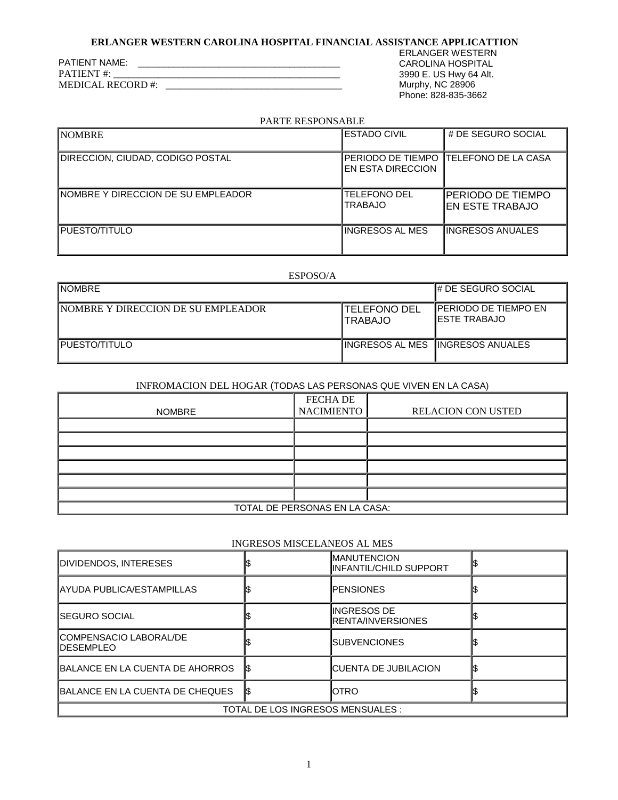# **ERLANGER WESTERN CAROLINA HOSPITAL FINANCIAL ASSISTANCE APPLICATTION**

| <b>PATIENT</b> #: | <b>PATIENT NAME:</b>    |  |  |
|-------------------|-------------------------|--|--|
|                   |                         |  |  |
|                   | <b>MEDICAL RECORD#:</b> |  |  |

ERLANGER WESTERN CAROLINA HOSPITAL 3990 E. US Hwy 64 Alt. Murphy, NC 28906 Phone: 828-835-3662

#### PARTE RESPONSABLE

| PARTE RESPUNSADLE                   |                                          |                                               |  |
|-------------------------------------|------------------------------------------|-----------------------------------------------|--|
| <b>NOMBRE</b>                       | <b>IESTADO CIVIL</b>                     | # DE SEGURO SOCIAL                            |  |
| DIRECCION, CIUDAD, CODIGO POSTAL    | IPERIODO DE TIEMPO<br>IEN ESTA DIRECCION | <b>ITELEFONO DE LA CASA</b>                   |  |
| INOMBRE Y DIRECCION DE SU EMPLEADOR | <b>TELEFONO DEL</b><br><b>TRABAJO</b>    | <b>IPERIODO DE TIEMPO</b><br>IEN ESTE TRABAJO |  |
| PUESTO/TITULO                       | IINGRESOS AL MES                         | <b>IINGRESOS ANUALES</b>                      |  |

# ESPOSO/A

| <b>I</b> NOMBRE                     |                                  | <b>I# DE SEGURO SOCIAL</b>                |
|-------------------------------------|----------------------------------|-------------------------------------------|
| INOMBRE Y DIRECCION DE SU EMPLEADOR | <b>ITELEFONO DEL</b><br>ITRABAJO | IPERIODO DE TIEMPO EN<br>IESTE TRABAJO    |
| <b>I</b> PUESTO/TITULO              |                                  | <b>IINGRESOS AL MES IINGRESOS ANUALES</b> |

# INFROMACION DEL HOGAR (TODAS LAS PERSONAS QUE VIVEN EN LA CASA)

| <b>NOMBRE</b>                 | <b>FECHA DE</b><br><b>NACIMIENTO</b> | <b>RELACION CON USTED</b> |  |  |
|-------------------------------|--------------------------------------|---------------------------|--|--|
|                               |                                      |                           |  |  |
|                               |                                      |                           |  |  |
|                               |                                      |                           |  |  |
|                               |                                      |                           |  |  |
|                               |                                      |                           |  |  |
|                               |                                      |                           |  |  |
| TOTAL DE PERSONAS EN LA CASA: |                                      |                           |  |  |

#### INGRESOS MISCELANEOS AL MES

| DIVIDENDOS, INTERESES                                                 |    | <b>IMANUTENCION</b><br>IINFANTIL/CHILD SUPPORT |  |  |
|-----------------------------------------------------------------------|----|------------------------------------------------|--|--|
| <b>JAYUDA PUBLICA/ESTAMPILLAS</b>                                     |    | <b>IPENSIONES</b>                              |  |  |
| <b>I</b> SEGURO SOCIAL                                                |    | IINGRESOS DE<br><b>IRENTA/INVERSIONES</b>      |  |  |
| <b>ICOMPENSACIO LABORAL/DE</b><br><b>IDESEMPLEO</b>                   |    | <b>I</b> SUBVENCIONES                          |  |  |
| BALANCE EN LA CUENTA DE AHORROS<br><b>ICUENTA DE JUBILACION</b><br>IS |    |                                                |  |  |
| BALANCE EN LA CUENTA DE CHEQUES                                       | IS | <b>I</b> OTRO                                  |  |  |
| TOTAL DE LOS INGRESOS MENSUALES :                                     |    |                                                |  |  |